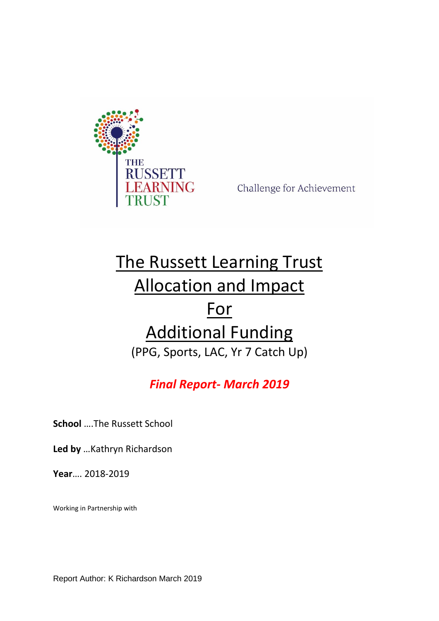

Challenge for Achievement

# The Russett Learning Trust Allocation and Impact For Additional Funding (PPG, Sports, LAC, Yr 7 Catch Up)

## *Final Report- March 2019*

**School** ….The Russett School

**Led by** …Kathryn Richardson

**Year**…. 2018-2019

Working in Partnership with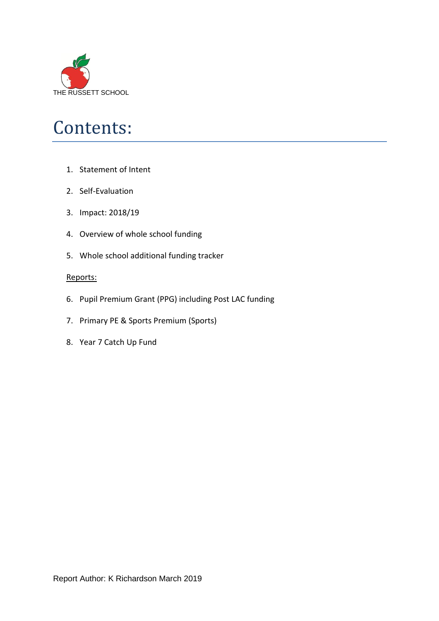

# Contents:

- 1. Statement of Intent
- 2. Self-Evaluation
- 3. Impact: 2018/19
- 4. Overview of whole school funding
- 5. Whole school additional funding tracker

### Reports:

- 6. Pupil Premium Grant (PPG) including Post LAC funding
- 7. Primary PE & Sports Premium (Sports)
- 8. Year 7 Catch Up Fund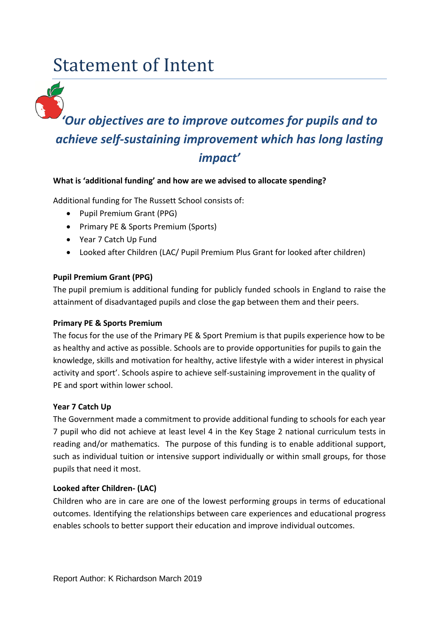# Statement of Intent



#### **What is 'additional funding' and how are we advised to allocate spending?**

Additional funding for The Russett School consists of:

- Pupil Premium Grant (PPG)
- Primary PE & Sports Premium (Sports)
- Year 7 Catch Up Fund
- Looked after Children (LAC/ Pupil Premium Plus Grant for looked after children)

#### **Pupil Premium Grant (PPG)**

The pupil [premium](https://www.gov.uk/government/policies/raising-the-achievement-of-disadvantaged-children/supporting-pages/pupil-premium) is additional funding for publicly funded schools in England to raise the attainment of disadvantaged pupils and close the gap between them and their peers.

#### **Primary PE & Sports Premium**

The focus for the use of the Primary PE & Sport Premium is that pupils experience how to be as healthy and active as possible. Schools are to provide opportunities for pupils to gain the knowledge, skills and motivation for healthy, active lifestyle with a wider interest in physical activity and sport'. Schools aspire to achieve self-sustaining improvement in the quality of PE and sport within lower school.

#### **Year 7 Catch Up**

The Government made a commitment to provide additional funding to schools for each year 7 pupil who did not achieve at least level 4 in the Key Stage 2 national curriculum tests in reading and/or mathematics. The purpose of this funding is to enable additional support, such as individual tuition or intensive support individually or within small groups, for those pupils that need it most.

### **Looked after Children- (LAC)**

Children who are in care are one of the lowest performing groups in terms of educational outcomes. Identifying the relationships between care experiences and educational progress enables schools to better support their education and improve individual outcomes.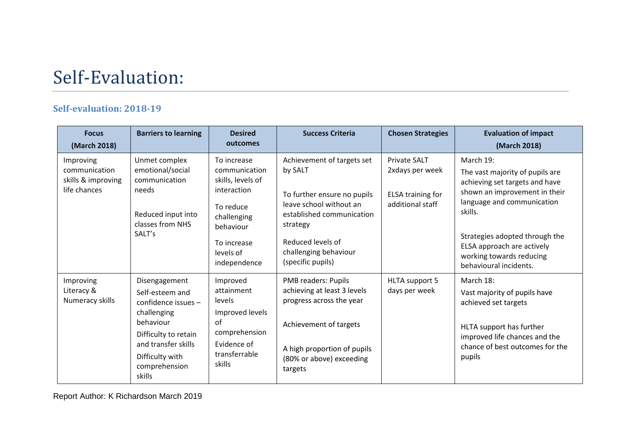# Self-Evaluation:

### **Self-evaluation: 2018-19**

| <b>Focus</b><br>(March 2018)                                     | <b>Barriers to learning</b>                                                                                                                                                      | <b>Desired</b><br>outcomes                                                                                                                            | <b>Success Criteria</b>                                                                                                                                                                                     | <b>Chosen Strategies</b>                                                        | <b>Evaluation of impact</b><br>(March 2018)                                                                                                                                                                                                                                    |
|------------------------------------------------------------------|----------------------------------------------------------------------------------------------------------------------------------------------------------------------------------|-------------------------------------------------------------------------------------------------------------------------------------------------------|-------------------------------------------------------------------------------------------------------------------------------------------------------------------------------------------------------------|---------------------------------------------------------------------------------|--------------------------------------------------------------------------------------------------------------------------------------------------------------------------------------------------------------------------------------------------------------------------------|
| Improving<br>communication<br>skills & improving<br>life chances | Unmet complex<br>emotional/social<br>communication<br>needs<br>Reduced input into<br>classes from NHS<br>SALT's                                                                  | To increase<br>communication<br>skills, levels of<br>interaction<br>To reduce<br>challenging<br>behaviour<br>To increase<br>levels of<br>independence | Achievement of targets set<br>by SALT<br>To further ensure no pupils<br>leave school without an<br>established communication<br>strategy<br>Reduced levels of<br>challenging behaviour<br>(specific pupils) | Private SALT<br>2xdays per week<br><b>ELSA training for</b><br>additional staff | March 19:<br>The vast majority of pupils are<br>achieving set targets and have<br>shown an improvement in their<br>language and communication<br>skills.<br>Strategies adopted through the<br>ELSA approach are actively<br>working towards reducing<br>behavioural incidents. |
| Improving<br>Literacy &<br>Numeracy skills                       | Disengagement<br>Self-esteem and<br>confidence issues -<br>challenging<br>behaviour<br>Difficulty to retain<br>and transfer skills<br>Difficulty with<br>comprehension<br>skills | Improved<br>attainment<br>levels<br>Improved levels<br>of<br>comprehension<br>Evidence of<br>transferrable<br>skills                                  | PMB readers: Pupils<br>achieving at least 3 levels<br>progress across the year<br>Achievement of targets<br>A high proportion of pupils<br>(80% or above) exceeding<br>targets                              | HLTA support 5<br>days per week                                                 | March 18:<br>Vast majority of pupils have<br>achieved set targets<br>HLTA support has further<br>improved life chances and the<br>chance of best outcomes for the<br>pupils                                                                                                    |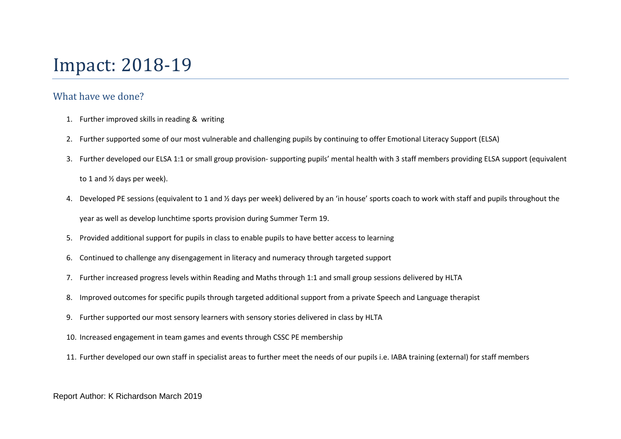# Impact: 2018-19

### What have we done?

- 1. Further improved skills in reading & writing
- 2. Further supported some of our most vulnerable and challenging pupils by continuing to offer Emotional Literacy Support (ELSA)
- 3. Further developed our ELSA 1:1 or small group provision- supporting pupils' mental health with 3 staff members providing ELSA support (equivalent to 1 and ½ days per week).
- 4. Developed PE sessions (equivalent to 1 and ½ days per week) delivered by an 'in house' sports coach to work with staff and pupils throughout the year as well as develop lunchtime sports provision during Summer Term 19.
- 5. Provided additional support for pupils in class to enable pupils to have better access to learning
- 6. Continued to challenge any disengagement in literacy and numeracy through targeted support
- 7. Further increased progress levels within Reading and Maths through 1:1 and small group sessions delivered by HLTA
- 8. Improved outcomes for specific pupils through targeted additional support from a private Speech and Language therapist
- 9. Further supported our most sensory learners with sensory stories delivered in class by HLTA
- 10. Increased engagement in team games and events through CSSC PE membership
- 11. Further developed our own staff in specialist areas to further meet the needs of our pupils i.e. IABA training (external) for staff members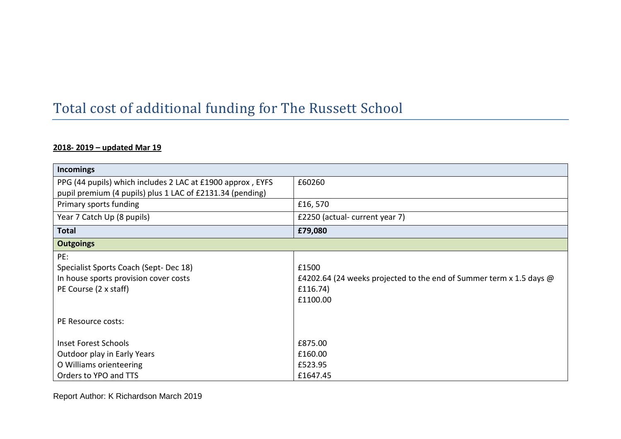## Total cost of additional funding for The Russett School

### **2018- 2019 – updated Mar 19**

| Incomings                                                  |                                                                            |
|------------------------------------------------------------|----------------------------------------------------------------------------|
| PPG (44 pupils) which includes 2 LAC at £1900 approx, EYFS | £60260                                                                     |
| pupil premium (4 pupils) plus 1 LAC of £2131.34 (pending)  |                                                                            |
| Primary sports funding                                     | £16,570                                                                    |
| Year 7 Catch Up (8 pupils)                                 | £2250 (actual-current year 7)                                              |
| <b>Total</b>                                               | £79,080                                                                    |
| <b>Outgoings</b>                                           |                                                                            |
| PE:                                                        |                                                                            |
| Specialist Sports Coach (Sept-Dec 18)                      | £1500                                                                      |
| In house sports provision cover costs                      | £4202.64 (24 weeks projected to the end of Summer term x 1.5 days $\omega$ |
| PE Course (2 x staff)                                      | £116.74)                                                                   |
|                                                            | £1100.00                                                                   |
|                                                            |                                                                            |
| PE Resource costs:                                         |                                                                            |
|                                                            |                                                                            |
| <b>Inset Forest Schools</b>                                | £875.00                                                                    |
| Outdoor play in Early Years                                | £160.00                                                                    |
| O Williams orienteering                                    | £523.95                                                                    |
| Orders to YPO and TTS                                      | £1647.45                                                                   |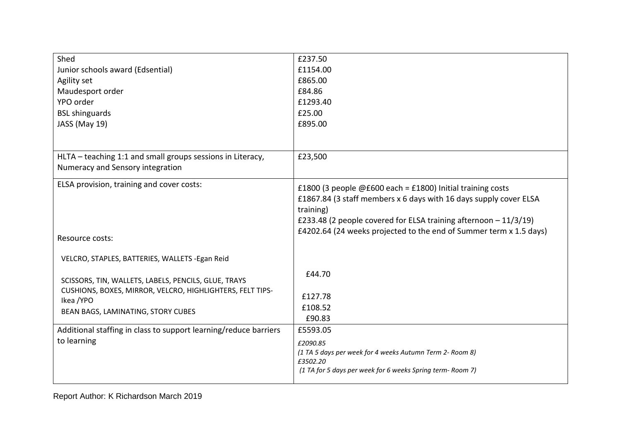| Shed                                                                    | £237.50                                                                                                                                                                                                              |
|-------------------------------------------------------------------------|----------------------------------------------------------------------------------------------------------------------------------------------------------------------------------------------------------------------|
| Junior schools award (Edsential)                                        | £1154.00                                                                                                                                                                                                             |
| Agility set                                                             | £865.00                                                                                                                                                                                                              |
| Maudesport order                                                        | £84.86                                                                                                                                                                                                               |
| YPO order                                                               | £1293.40                                                                                                                                                                                                             |
| <b>BSL shinguards</b>                                                   | £25.00                                                                                                                                                                                                               |
| JASS (May 19)                                                           | £895.00                                                                                                                                                                                                              |
|                                                                         |                                                                                                                                                                                                                      |
| HLTA - teaching 1:1 and small groups sessions in Literacy,              | £23,500                                                                                                                                                                                                              |
| Numeracy and Sensory integration                                        |                                                                                                                                                                                                                      |
| ELSA provision, training and cover costs:                               | £1800 (3 people $@E600$ each = £1800) Initial training costs<br>£1867.84 (3 staff members x 6 days with 16 days supply cover ELSA<br>training)<br>£233.48 (2 people covered for ELSA training afternoon $-11/3/19$ ) |
| Resource costs:                                                         | £4202.64 (24 weeks projected to the end of Summer term x 1.5 days)                                                                                                                                                   |
| VELCRO, STAPLES, BATTERIES, WALLETS - Egan Reid                         |                                                                                                                                                                                                                      |
| SCISSORS, TIN, WALLETS, LABELS, PENCILS, GLUE, TRAYS                    | £44.70                                                                                                                                                                                                               |
| CUSHIONS, BOXES, MIRROR, VELCRO, HIGHLIGHTERS, FELT TIPS-<br>Ikea / YPO | £127.78                                                                                                                                                                                                              |
| BEAN BAGS, LAMINATING, STORY CUBES                                      | £108.52                                                                                                                                                                                                              |
|                                                                         | £90.83                                                                                                                                                                                                               |
| Additional staffing in class to support learning/reduce barriers        | £5593.05                                                                                                                                                                                                             |
| to learning                                                             | £2090.85<br>(1 TA 5 days per week for 4 weeks Autumn Term 2- Room 8)                                                                                                                                                 |
|                                                                         | £3502.20<br>(1 TA for 5 days per week for 6 weeks Spring term-Room 7)                                                                                                                                                |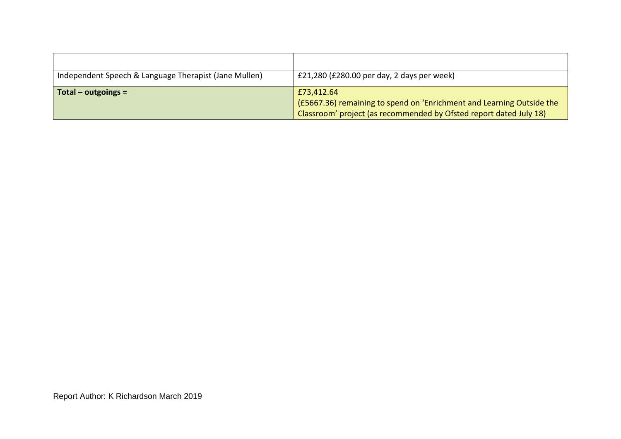| Independent Speech & Language Therapist (Jane Mullen) | £21,280 (£280.00 per day, 2 days per week)                            |
|-------------------------------------------------------|-----------------------------------------------------------------------|
| Total – outgoings =                                   | £73,412.64                                                            |
|                                                       | (£5667.36) remaining to spend on 'Enrichment and Learning Outside the |
|                                                       | Classroom' project (as recommended by Ofsted report dated July 18)    |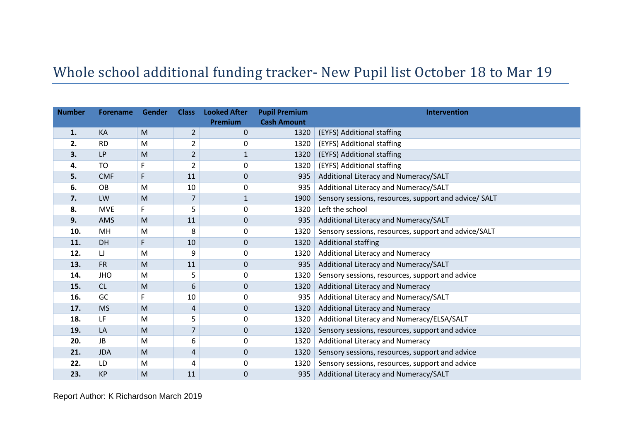## Whole school additional funding tracker- New Pupil list October 18 to Mar 19

| <b>Number</b> | <b>Forename</b> | Gender | <b>Class</b>   | <b>Looked After</b> | <b>Pupil Premium</b> | Intervention                                          |
|---------------|-----------------|--------|----------------|---------------------|----------------------|-------------------------------------------------------|
|               |                 |        |                | Premium             | <b>Cash Amount</b>   |                                                       |
| 1.            | KA              | M      | $\overline{2}$ | $\Omega$            | 1320                 | (EYFS) Additional staffing                            |
| 2.            | <b>RD</b>       | M      | 2              | 0                   | 1320                 | (EYFS) Additional staffing                            |
| 3.            | <b>LP</b>       | M      | 2              | 1                   | 1320                 | (EYFS) Additional staffing                            |
| 4.            | TO              | F      | 2              | 0                   | 1320                 | (EYFS) Additional staffing                            |
| 5.            | <b>CMF</b>      | F.     | 11             | $\mathbf 0$         | 935                  | Additional Literacy and Numeracy/SALT                 |
| 6.            | <b>OB</b>       | M      | 10             | 0                   | 935                  | Additional Literacy and Numeracy/SALT                 |
| 7.            | LW              | M      | 7              | $\mathbf{1}$        | 1900                 | Sensory sessions, resources, support and advice/ SALT |
| 8.            | <b>MVE</b>      | F.     | 5              | 0                   | 1320                 | Left the school                                       |
| 9.            | AMS             | M      | 11             | $\mathbf{0}$        | 935                  | Additional Literacy and Numeracy/SALT                 |
| 10.           | MH              | M      | 8              | 0                   | 1320                 | Sensory sessions, resources, support and advice/SALT  |
| 11.           | <b>DH</b>       | F.     | 10             | $\mathbf 0$         | 1320                 | <b>Additional staffing</b>                            |
| 12.           | IJ              | M      | 9              | 0                   | 1320                 | <b>Additional Literacy and Numeracy</b>               |
| 13.           | <b>FR</b>       | M      | 11             | $\mathbf 0$         | 935                  | Additional Literacy and Numeracy/SALT                 |
| 14.           | <b>JHO</b>      | M      | 5              | 0                   | 1320                 | Sensory sessions, resources, support and advice       |
| 15.           | CL              | M      | 6              | $\mathbf 0$         | 1320                 | Additional Literacy and Numeracy                      |
| 16.           | GC              | F      | 10             | 0                   | 935                  | Additional Literacy and Numeracy/SALT                 |
| 17.           | <b>MS</b>       | M      | 4              | $\mathbf 0$         | 1320                 | Additional Literacy and Numeracy                      |
| 18.           | LF              | M      | 5              | 0                   | 1320                 | Additional Literacy and Numeracy/ELSA/SALT            |
| 19.           | LA              | M      | 7              | $\mathbf 0$         | 1320                 | Sensory sessions, resources, support and advice       |
| 20.           | <b>JB</b>       | M      | 6              | 0                   | 1320                 | <b>Additional Literacy and Numeracy</b>               |
| 21.           | <b>JDA</b>      | M      | 4              | $\pmb{0}$           | 1320                 | Sensory sessions, resources, support and advice       |
| 22.           | LD              | M      | 4              | 0                   | 1320                 | Sensory sessions, resources, support and advice       |
| 23.           | <b>KP</b>       | M      | 11             | $\pmb{0}$           | 935                  | Additional Literacy and Numeracy/SALT                 |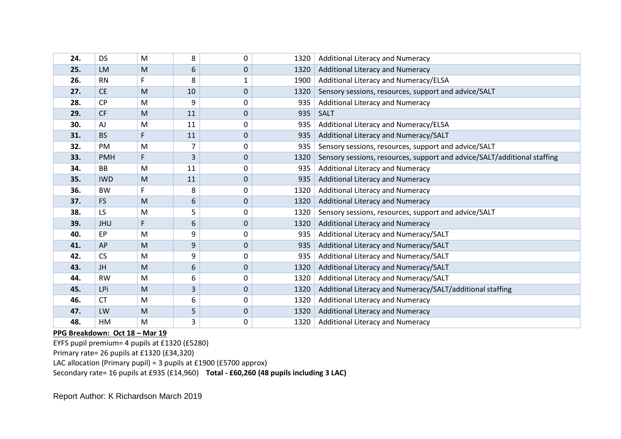| 24. | <b>DS</b>  | M  | 8  | 0            | 1320 | Additional Literacy and Numeracy                                         |
|-----|------------|----|----|--------------|------|--------------------------------------------------------------------------|
| 25. | LM         | M  | 6  | 0            | 1320 | <b>Additional Literacy and Numeracy</b>                                  |
| 26. | <b>RN</b>  | F. | 8  |              | 1900 | Additional Literacy and Numeracy/ELSA                                    |
| 27. | <b>CE</b>  | M  | 10 | $\Omega$     | 1320 | Sensory sessions, resources, support and advice/SALT                     |
| 28. | <b>CP</b>  | M  | 9  | 0            | 935  | Additional Literacy and Numeracy                                         |
| 29. | <b>CF</b>  | M  | 11 | $\mathbf 0$  | 935  | <b>SALT</b>                                                              |
| 30. | AJ         | M  | 11 | 0            | 935  | Additional Literacy and Numeracy/ELSA                                    |
| 31. | <b>BS</b>  | F  | 11 | $\mathbf 0$  | 935  | Additional Literacy and Numeracy/SALT                                    |
| 32. | PM         | M  | 7  | 0            | 935  | Sensory sessions, resources, support and advice/SALT                     |
| 33. | <b>PMH</b> | F  | 3  | $\mathbf 0$  | 1320 | Sensory sessions, resources, support and advice/SALT/additional staffing |
| 34. | <b>BB</b>  | M  | 11 | 0            | 935  | Additional Literacy and Numeracy                                         |
| 35. | <b>IWD</b> | M  | 11 | $\mathbf 0$  | 935  | <b>Additional Literacy and Numeracy</b>                                  |
| 36. | <b>BW</b>  | F. | 8  | 0            | 1320 | Additional Literacy and Numeracy                                         |
| 37. | <b>FS</b>  | M  | 6  | $\mathbf{0}$ | 1320 | Additional Literacy and Numeracy                                         |
| 38. | LS         | M  | 5  | 0            | 1320 | Sensory sessions, resources, support and advice/SALT                     |
| 39. | <b>JHU</b> | F  | 6  | $\mathbf 0$  | 1320 | Additional Literacy and Numeracy                                         |
| 40. | EP         | M  | 9  | 0            | 935  | Additional Literacy and Numeracy/SALT                                    |
| 41. | AP         | M  | 9  | $\mathbf 0$  | 935  | Additional Literacy and Numeracy/SALT                                    |
| 42. | <b>CS</b>  | M  | 9  | 0            | 935  | Additional Literacy and Numeracy/SALT                                    |
| 43. | JH         | M  | 6  | $\mathbf 0$  | 1320 | Additional Literacy and Numeracy/SALT                                    |
| 44. | <b>RW</b>  | M  | 6  | 0            | 1320 | Additional Literacy and Numeracy/SALT                                    |
| 45. | LPi        | M  | 3  | $\mathbf 0$  | 1320 | Additional Literacy and Numeracy/SALT/additional staffing                |
| 46. | <b>CT</b>  | M  | 6  | 0            | 1320 | Additional Literacy and Numeracy                                         |
| 47. | LW         | M  | 5  | $\mathbf{0}$ | 1320 | <b>Additional Literacy and Numeracy</b>                                  |
| 48. | HM         | M  | 3  | 0            | 1320 | Additional Literacy and Numeracy                                         |

**PPG Breakdown: Oct 18 – Mar 19**

EYFS pupil premium= 4 pupils at £1320 (£5280) Primary rate= 26 pupils at £1320 (£34,320) LAC allocation (Primary pupil) = 3 pupils at £1900 (£5700 approx) Secondary rate= 16 pupils at £935 (£14,960) **Total - £60,260 (48 pupils including 3 LAC)**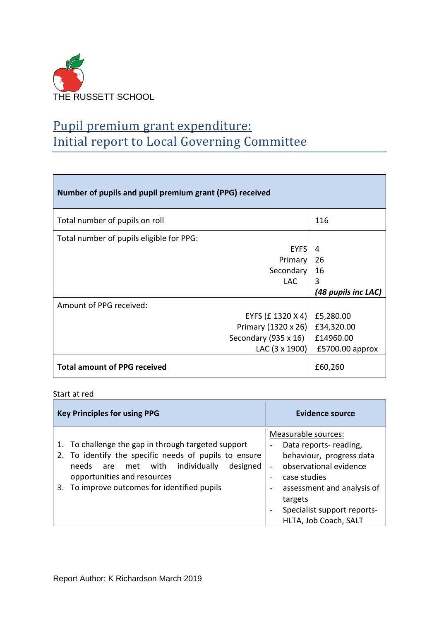

## Pupil premium grant expenditure: Initial report to Local Governing Committee

| Number of pupils and pupil premium grant (PPG) received |                     |  |  |  |
|---------------------------------------------------------|---------------------|--|--|--|
| Total number of pupils on roll                          | 116                 |  |  |  |
| Total number of pupils eligible for PPG:                |                     |  |  |  |
| <b>EYFS</b>                                             | 4                   |  |  |  |
| Primary                                                 | 26                  |  |  |  |
| Secondary                                               | 16                  |  |  |  |
| LAC.                                                    | 3                   |  |  |  |
|                                                         | (48 pupils inc LAC) |  |  |  |
| Amount of PPG received:                                 |                     |  |  |  |
| EYFS (£ 1320 X 4)                                       | £5,280.00           |  |  |  |
| Primary (1320 x 26)                                     | £34,320.00          |  |  |  |
| Secondary (935 x 16)                                    | £14960.00           |  |  |  |
| LAC (3 x 1900)                                          | $£5700.00$ approx   |  |  |  |
| <b>Total amount of PPG received</b>                     | £60,260             |  |  |  |

#### Start at red

| <b>Key Principles for using PPG</b>                                                                                                                                                                                                           | Evidence source                                                                                                                                                                                                           |  |
|-----------------------------------------------------------------------------------------------------------------------------------------------------------------------------------------------------------------------------------------------|---------------------------------------------------------------------------------------------------------------------------------------------------------------------------------------------------------------------------|--|
| 1. To challenge the gap in through targeted support<br>2. To identify the specific needs of pupils to ensure<br>needs are met with individually<br>designed<br>opportunities and resources<br>To improve outcomes for identified pupils<br>3. | Measurable sources:<br>Data reports- reading,<br>-<br>behaviour, progress data<br>observational evidence<br>case studies<br>assessment and analysis of<br>targets<br>Specialist support reports-<br>HLTA, Job Coach, SALT |  |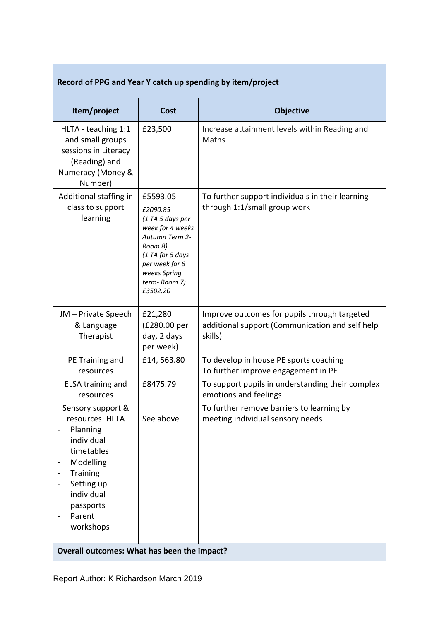| Record of PPG and Year Y catch up spending by item/project                                                                                                                             |                                                                                                                                                                             |                                                                                                            |  |  |  |  |
|----------------------------------------------------------------------------------------------------------------------------------------------------------------------------------------|-----------------------------------------------------------------------------------------------------------------------------------------------------------------------------|------------------------------------------------------------------------------------------------------------|--|--|--|--|
| Item/project                                                                                                                                                                           | Cost                                                                                                                                                                        | <b>Objective</b>                                                                                           |  |  |  |  |
| HLTA - teaching 1:1<br>and small groups<br>sessions in Literacy<br>(Reading) and<br>Numeracy (Money &<br>Number)                                                                       | £23,500                                                                                                                                                                     | Increase attainment levels within Reading and<br>Maths                                                     |  |  |  |  |
| Additional staffing in<br>class to support<br>learning                                                                                                                                 | £5593.05<br>£2090.85<br>(1 TA 5 days per<br>week for 4 weeks<br>Autumn Term 2-<br>Room 8)<br>(1 TA for 5 days<br>per week for 6<br>weeks Spring<br>term-Room 7)<br>£3502.20 | To further support individuals in their learning<br>through 1:1/small group work                           |  |  |  |  |
| JM – Private Speech<br>& Language<br>Therapist                                                                                                                                         | £21,280<br>(£280.00 per<br>day, 2 days<br>per week)                                                                                                                         | Improve outcomes for pupils through targeted<br>additional support (Communication and self help<br>skills) |  |  |  |  |
| PE Training and<br>resources                                                                                                                                                           | £14,563.80                                                                                                                                                                  | To develop in house PE sports coaching<br>To further improve engagement in PE                              |  |  |  |  |
| <b>ELSA training and</b><br>resources                                                                                                                                                  | £8475.79                                                                                                                                                                    | To support pupils in understanding their complex<br>emotions and feelings                                  |  |  |  |  |
| Sensory support &<br>resources: HLTA<br>Planning<br>individual<br>timetables<br>Modelling<br>-<br><b>Training</b><br>Setting up<br>individual<br>passports<br>Parent<br>-<br>workshops | See above                                                                                                                                                                   | To further remove barriers to learning by<br>meeting individual sensory needs                              |  |  |  |  |
| Overall outcomes: What has been the impact?                                                                                                                                            |                                                                                                                                                                             |                                                                                                            |  |  |  |  |

T

F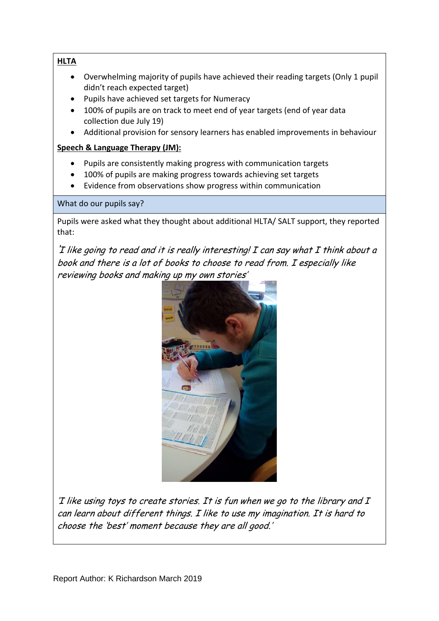**HLTA**

- Overwhelming majority of pupils have achieved their reading targets (Only 1 pupil didn't reach expected target)
- Pupils have achieved set targets for Numeracy
- 100% of pupils are on track to meet end of year targets (end of year data collection due July 19)
- Additional provision for sensory learners has enabled improvements in behaviour

### **Speech & Language Therapy (JM):**

- Pupils are consistently making progress with communication targets
- 100% of pupils are making progress towards achieving set targets
- Evidence from observations show progress within communication

What do our pupils say?

Pupils were asked what they thought about additional HLTA/ SALT support, they reported that:

 $T$  like going to read and it is really interesting!  $I$  can say what  $I$  think about a book and there is <sup>a</sup> lot of books to choose to read from. <sup>I</sup> especially like reviewing books and making up my own stories'



'I like using toys to create stories. It is fun when we go to the library and <sup>I</sup> can learn about different things. <sup>I</sup> like to use my imagination. It is hard to choose the 'best' moment because they are all good.'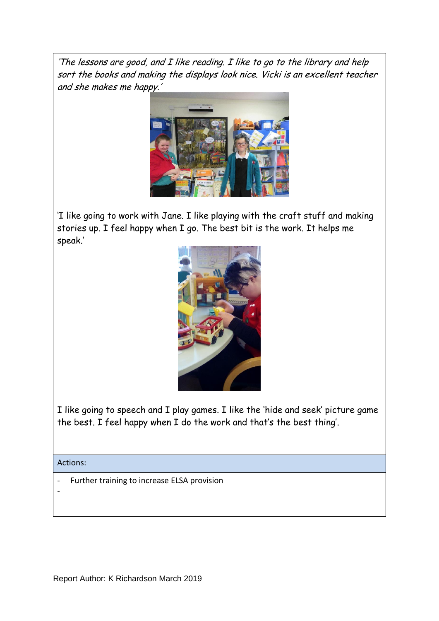'The lessons are good, and <sup>I</sup> like reading. <sup>I</sup> like to go to the library and help sort the books and making the displays look nice. Vicki is an excellent teacher and she makes me happy.'



'I like going to work with Jane. I like playing with the craft stuff and making stories up. I feel happy when I go. The best bit is the work. It helps me speak.'



I like going to speech and I play games. I like the 'hide and seek' picture game the best. I feel happy when I do the work and that's the best thing'.

Actions:

-

Further training to increase ELSA provision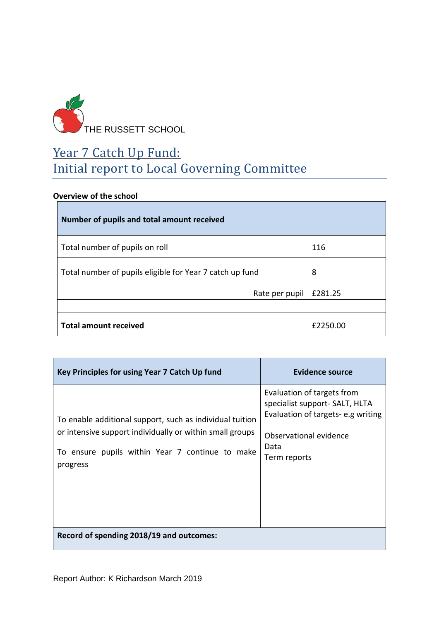

## Year 7 Catch Up Fund: Initial report to Local Governing Committee

### **Overview of the school**

| Number of pupils and total amount received               |          |
|----------------------------------------------------------|----------|
| Total number of pupils on roll                           | 116      |
| Total number of pupils eligible for Year 7 catch up fund | 8        |
| Rate per pupil                                           | £281.25  |
|                                                          |          |
| <b>Total amount received</b>                             | £2250.00 |

| Key Principles for using Year 7 Catch Up fund                                                                                                                                       | Evidence source                                                                                                                                     |
|-------------------------------------------------------------------------------------------------------------------------------------------------------------------------------------|-----------------------------------------------------------------------------------------------------------------------------------------------------|
| To enable additional support, such as individual tuition<br>or intensive support individually or within small groups<br>To ensure pupils within Year 7 continue to make<br>progress | Evaluation of targets from<br>specialist support- SALT, HLTA<br>Evaluation of targets-e.g writing<br>Observational evidence<br>Data<br>Term reports |
| Record of spending 2018/19 and outcomes:                                                                                                                                            |                                                                                                                                                     |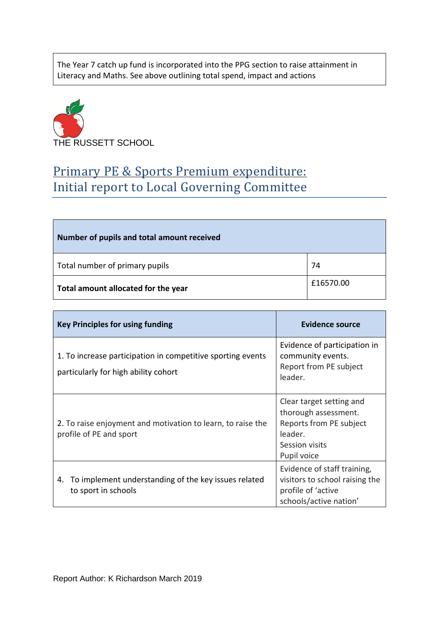The Year 7 catch up fund is incorporated into the PPG section to raise attainment in Literacy and Maths. See above outlining total spend, impact and actions



## Primary PE & Sports Premium expenditure: Initial report to Local Governing Committee

| Number of pupils and total amount received |           |
|--------------------------------------------|-----------|
| Total number of primary pupils             | 74        |
| Total amount allocated for the year        | £16570.00 |

| <b>Key Principles for using funding</b>                                                             | <b>Evidence source</b>                                                                                                  |
|-----------------------------------------------------------------------------------------------------|-------------------------------------------------------------------------------------------------------------------------|
| 1. To increase participation in competitive sporting events<br>particularly for high ability cohort | Evidence of participation in<br>community events.<br>Report from PE subject<br>leader.                                  |
| 2. To raise enjoyment and motivation to learn, to raise the<br>profile of PE and sport              | Clear target setting and<br>thorough assessment.<br>Reports from PE subject<br>leader.<br>Session visits<br>Pupil voice |
| To implement understanding of the key issues related<br>4.<br>to sport in schools                   | Evidence of staff training,<br>visitors to school raising the<br>profile of 'active<br>schools/active nation'           |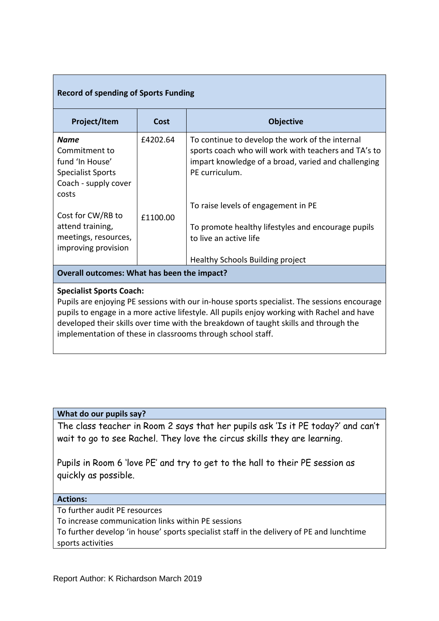### **Record of spending of Sports Funding**

| Project/Item                                                                                          | Cost     | <b>Objective</b>                                                                                                                                                                 |  |  |  |
|-------------------------------------------------------------------------------------------------------|----------|----------------------------------------------------------------------------------------------------------------------------------------------------------------------------------|--|--|--|
| Name<br>Commitment to<br>fund 'In House'<br><b>Specialist Sports</b><br>Coach - supply cover<br>costs | £4202.64 | To continue to develop the work of the internal<br>sports coach who will work with teachers and TA's to<br>impart knowledge of a broad, varied and challenging<br>PE curriculum. |  |  |  |
|                                                                                                       |          | To raise levels of engagement in PE                                                                                                                                              |  |  |  |
| Cost for CW/RB to<br>attend training,<br>meetings, resources,<br>improving provision                  | £1100.00 | To promote healthy lifestyles and encourage pupils<br>to live an active life                                                                                                     |  |  |  |
|                                                                                                       |          | Healthy Schools Building project                                                                                                                                                 |  |  |  |
| Overall outcomes: What has been the impact?                                                           |          |                                                                                                                                                                                  |  |  |  |
|                                                                                                       |          |                                                                                                                                                                                  |  |  |  |

### **Specialist Sports Coach:**

Pupils are enjoying PE sessions with our in-house sports specialist. The sessions encourage pupils to engage in a more active lifestyle. All pupils enjoy working with Rachel and have developed their skills over time with the breakdown of taught skills and through the implementation of these in classrooms through school staff.

### **What do our pupils say?**

The class teacher in Room 2 says that her pupils ask 'Is it PE today?' and can't wait to go to see Rachel. They love the circus skills they are learning.

Pupils in Room 6 'love PE' and try to get to the hall to their PE session as quickly as possible.

#### **Actions:**

To further audit PE resources

To increase communication links within PE sessions

To further develop 'in house' sports specialist staff in the delivery of PE and lunchtime sports activities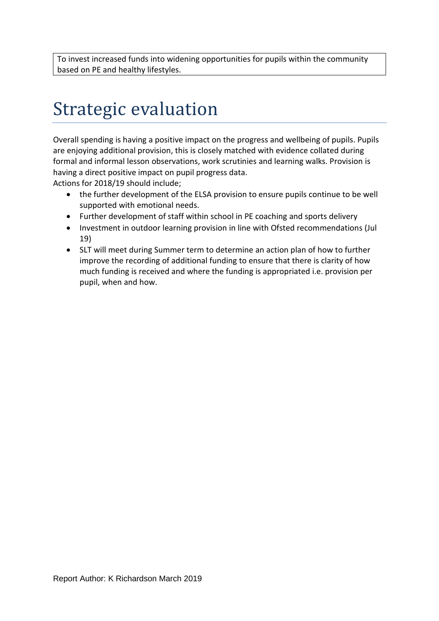To invest increased funds into widening opportunities for pupils within the community based on PE and healthy lifestyles.

# Strategic evaluation

Overall spending is having a positive impact on the progress and wellbeing of pupils. Pupils are enjoying additional provision, this is closely matched with evidence collated during formal and informal lesson observations, work scrutinies and learning walks. Provision is having a direct positive impact on pupil progress data.

Actions for 2018/19 should include;

- the further development of the ELSA provision to ensure pupils continue to be well supported with emotional needs.
- Further development of staff within school in PE coaching and sports delivery
- Investment in outdoor learning provision in line with Ofsted recommendations (Jul 19)
- SLT will meet during Summer term to determine an action plan of how to further improve the recording of additional funding to ensure that there is clarity of how much funding is received and where the funding is appropriated i.e. provision per pupil, when and how.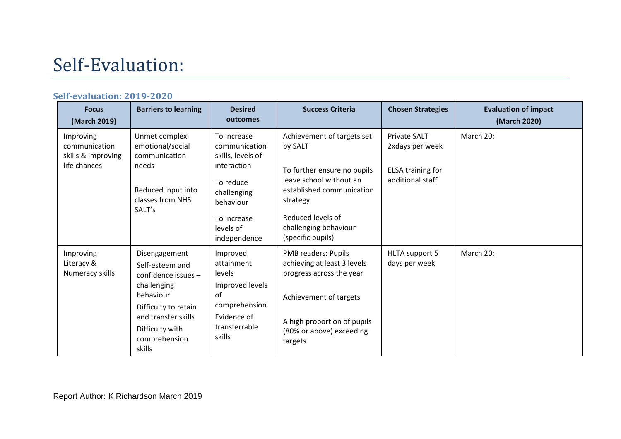# Self-Evaluation:

### **Self-evaluation: 2019-2020**

| <b>Focus</b><br>(March 2019)                                     | <b>Barriers to learning</b>                                                                                                                                                        | <b>Desired</b><br>outcomes                                                                                                                            | <b>Success Criteria</b>                                                                                                                                                                                     | <b>Chosen Strategies</b>                                                               | <b>Evaluation of impact</b><br>(March 2020) |
|------------------------------------------------------------------|------------------------------------------------------------------------------------------------------------------------------------------------------------------------------------|-------------------------------------------------------------------------------------------------------------------------------------------------------|-------------------------------------------------------------------------------------------------------------------------------------------------------------------------------------------------------------|----------------------------------------------------------------------------------------|---------------------------------------------|
| Improving<br>communication<br>skills & improving<br>life chances | Unmet complex<br>emotional/social<br>communication<br>needs<br>Reduced input into<br>classes from NHS<br>SALT's                                                                    | To increase<br>communication<br>skills, levels of<br>interaction<br>To reduce<br>challenging<br>behaviour<br>To increase<br>levels of<br>independence | Achievement of targets set<br>by SALT<br>To further ensure no pupils<br>leave school without an<br>established communication<br>strategy<br>Reduced levels of<br>challenging behaviour<br>(specific pupils) | <b>Private SALT</b><br>2xdays per week<br><b>ELSA training for</b><br>additional staff | March 20:                                   |
| Improving<br>Literacy &<br>Numeracy skills                       | Disengagement<br>Self-esteem and<br>confidence issues $-$<br>challenging<br>behaviour<br>Difficulty to retain<br>and transfer skills<br>Difficulty with<br>comprehension<br>skills | Improved<br>attainment<br>levels<br>Improved levels<br>of<br>comprehension<br>Evidence of<br>transferrable<br>skills                                  | PMB readers: Pupils<br>achieving at least 3 levels<br>progress across the year<br>Achievement of targets<br>A high proportion of pupils<br>(80% or above) exceeding<br>targets                              | HLTA support 5<br>days per week                                                        | March 20:                                   |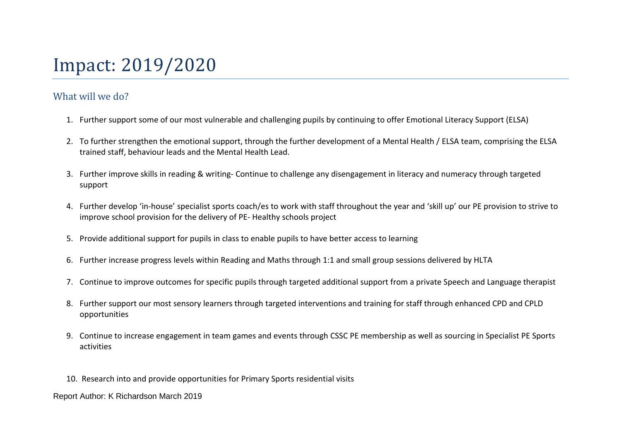# Impact: 2019/2020

## What will we do?

- 1. Further support some of our most vulnerable and challenging pupils by continuing to offer Emotional Literacy Support (ELSA)
- 2. To further strengthen the emotional support, through the further development of a Mental Health / ELSA team, comprising the ELSA trained staff, behaviour leads and the Mental Health Lead.
- 3. Further improve skills in reading & writing- Continue to challenge any disengagement in literacy and numeracy through targeted support
- 4. Further develop 'in-house' specialist sports coach/es to work with staff throughout the year and 'skill up' our PE provision to strive to improve school provision for the delivery of PE- Healthy schools project
- 5. Provide additional support for pupils in class to enable pupils to have better access to learning
- 6. Further increase progress levels within Reading and Maths through 1:1 and small group sessions delivered by HLTA
- 7. Continue to improve outcomes for specific pupils through targeted additional support from a private Speech and Language therapist
- 8. Further support our most sensory learners through targeted interventions and training for staff through enhanced CPD and CPLD opportunities
- 9. Continue to increase engagement in team games and events through CSSC PE membership as well as sourcing in Specialist PE Sports activities
- 10. Research into and provide opportunities for Primary Sports residential visits